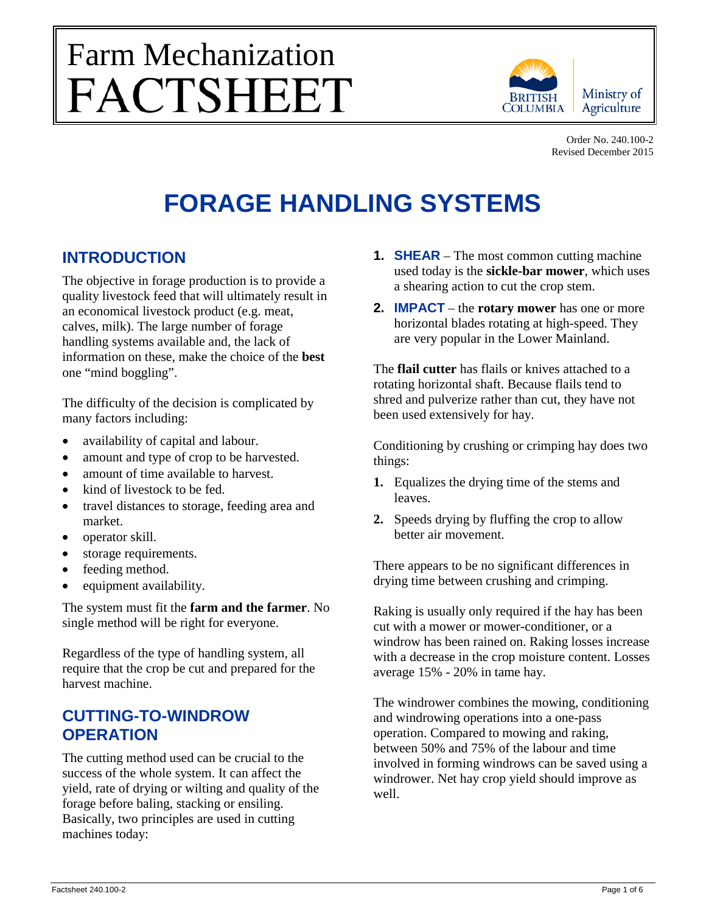# Farm Mechanization<br>FACTSHEET



Order No. 240.100-2 Revised December 2015

# **FORAGE HANDLING SYSTEMS**

# **INTRODUCTION**

The objective in forage production is to provide a quality livestock feed that will ultimately result in an economical livestock product (e.g. meat, calves, milk). The large number of forage handling systems available and, the lack of information on these, make the choice of the **best** one "mind boggling".

The difficulty of the decision is complicated by many factors including:

- availability of capital and labour.
- amount and type of crop to be harvested.
- amount of time available to harvest.
- kind of livestock to be fed.
- travel distances to storage, feeding area and market.
- operator skill.
- storage requirements.
- feeding method.
- equipment availability.

The system must fit the **farm and the farmer**. No single method will be right for everyone.

Regardless of the type of handling system, all require that the crop be cut and prepared for the harvest machine.

# **CUTTING-TO-WINDROW OPERATION**

The cutting method used can be crucial to the success of the whole system. It can affect the yield, rate of drying or wilting and quality of the forage before baling, stacking or ensiling. Basically, two principles are used in cutting machines today:

- **1. SHEAR** The most common cutting machine used today is the **sickle-bar mower**, which uses a shearing action to cut the crop stem.
- **2. IMPACT** the **rotary mower** has one or more horizontal blades rotating at high-speed. They are very popular in the Lower Mainland.

The **flail cutter** has flails or knives attached to a rotating horizontal shaft. Because flails tend to shred and pulverize rather than cut, they have not been used extensively for hay.

Conditioning by crushing or crimping hay does two things:

- **1.** Equalizes the drying time of the stems and leaves.
- **2.** Speeds drying by fluffing the crop to allow better air movement.

There appears to be no significant differences in drying time between crushing and crimping.

Raking is usually only required if the hay has been cut with a mower or mower-conditioner, or a windrow has been rained on. Raking losses increase with a decrease in the crop moisture content. Losses average 15% - 20% in tame hay.

The windrower combines the mowing, conditioning and windrowing operations into a one-pass operation. Compared to mowing and raking, between 50% and 75% of the labour and time involved in forming windrows can be saved using a windrower. Net hay crop yield should improve as well.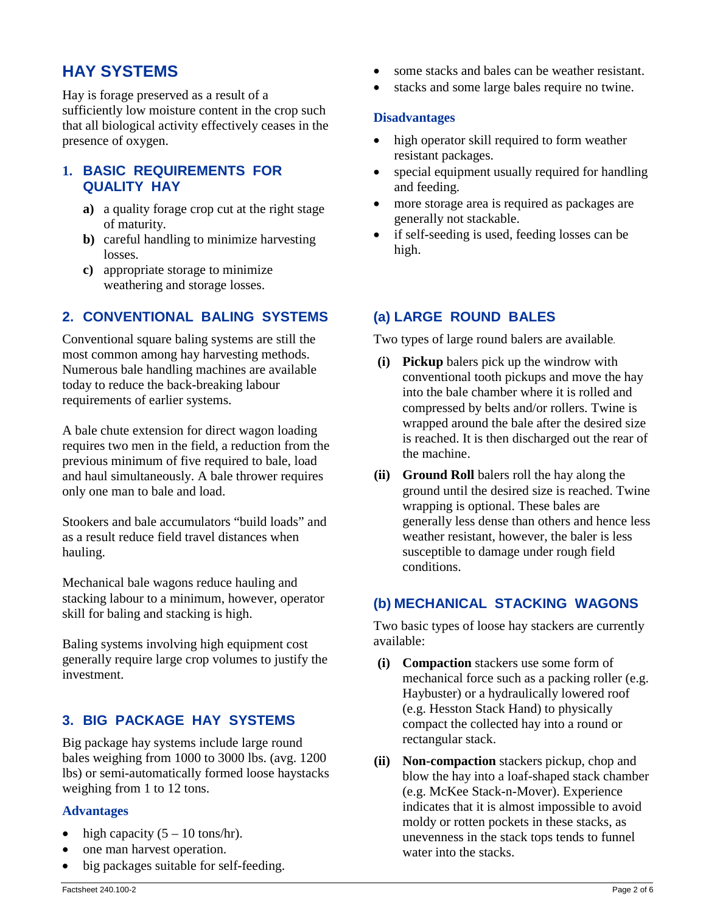# **HAY SYSTEMS**

Hay is forage preserved as a result of a sufficiently low moisture content in the crop such that all biological activity effectively ceases in the presence of oxygen.

# **1. BASIC REQUIREMENTS FOR QUALITY HAY**

- **a)** a quality forage crop cut at the right stage of maturity.
- **b)** careful handling to minimize harvesting losses.
- **c)** appropriate storage to minimize weathering and storage losses.

# **2. CONVENTIONAL BALING SYSTEMS**

Conventional square baling systems are still the most common among hay harvesting methods. Numerous bale handling machines are available today to reduce the back-breaking labour requirements of earlier systems.

A bale chute extension for direct wagon loading requires two men in the field, a reduction from the previous minimum of five required to bale, load and haul simultaneously. A bale thrower requires only one man to bale and load.

Stookers and bale accumulators "build loads" and as a result reduce field travel distances when hauling.

Mechanical bale wagons reduce hauling and stacking labour to a minimum, however, operator skill for baling and stacking is high.

Baling systems involving high equipment cost generally require large crop volumes to justify the investment.

# **3. BIG PACKAGE HAY SYSTEMS**

Big package hay systems include large round bales weighing from 1000 to 3000 lbs. (avg. 1200 lbs) or semi-automatically formed loose haystacks weighing from 1 to 12 tons.

### **Advantages**

- high capacity  $(5 10 \text{ tons/hr})$ .
- one man harvest operation.
- big packages suitable for self-feeding.
- some stacks and bales can be weather resistant.
- stacks and some large bales require no twine.

### **Disadvantages**

- high operator skill required to form weather resistant packages.
- special equipment usually required for handling and feeding.
- more storage area is required as packages are generally not stackable.
- if self-seeding is used, feeding losses can be high.

# **(a) LARGE ROUND BALES**

Two types of large round balers are available.

- **(i) Pickup** balers pick up the windrow with conventional tooth pickups and move the hay into the bale chamber where it is rolled and compressed by belts and/or rollers. Twine is wrapped around the bale after the desired size is reached. It is then discharged out the rear of the machine.
- **(ii) Ground Roll** balers roll the hay along the ground until the desired size is reached. Twine wrapping is optional. These bales are generally less dense than others and hence less weather resistant, however, the baler is less susceptible to damage under rough field conditions.

# **(b) MECHANICAL STACKING WAGONS**

Two basic types of loose hay stackers are currently available:

- **(i) Compaction** stackers use some form of mechanical force such as a packing roller (e.g. Haybuster) or a hydraulically lowered roof (e.g. Hesston Stack Hand) to physically compact the collected hay into a round or rectangular stack.
- **(ii) Non-compaction** stackers pickup, chop and blow the hay into a loaf-shaped stack chamber (e.g. McKee Stack-n-Mover). Experience indicates that it is almost impossible to avoid moldy or rotten pockets in these stacks, as unevenness in the stack tops tends to funnel water into the stacks.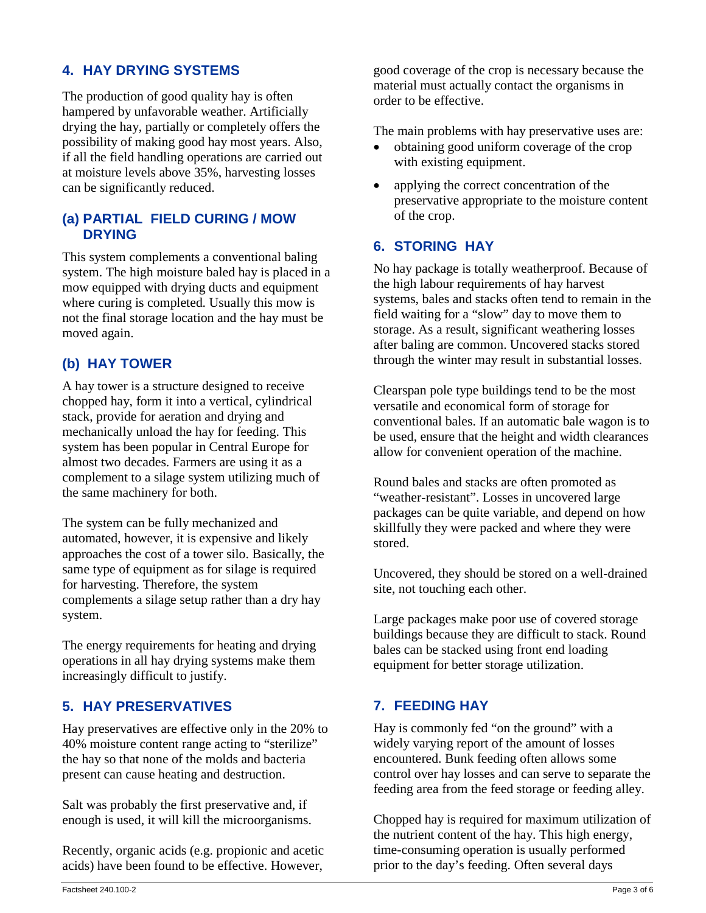# **4. HAY DRYING SYSTEMS**

The production of good quality hay is often hampered by unfavorable weather. Artificially drying the hay, partially or completely offers the possibility of making good hay most years. Also, if all the field handling operations are carried out at moisture levels above 35%, harvesting losses can be significantly reduced.

# **(a) PARTIAL FIELD CURING / MOW DRYING**

This system complements a conventional baling system. The high moisture baled hay is placed in a mow equipped with drying ducts and equipment where curing is completed. Usually this mow is not the final storage location and the hay must be moved again.

# **(b) HAY TOWER**

A hay tower is a structure designed to receive chopped hay, form it into a vertical, cylindrical stack, provide for aeration and drying and mechanically unload the hay for feeding. This system has been popular in Central Europe for almost two decades. Farmers are using it as a complement to a silage system utilizing much of the same machinery for both.

The system can be fully mechanized and automated, however, it is expensive and likely approaches the cost of a tower silo. Basically, the same type of equipment as for silage is required for harvesting. Therefore, the system complements a silage setup rather than a dry hay system.

The energy requirements for heating and drying operations in all hay drying systems make them increasingly difficult to justify.

# **5. HAY PRESERVATIVES**

Hay preservatives are effective only in the 20% to 40% moisture content range acting to "sterilize" the hay so that none of the molds and bacteria present can cause heating and destruction.

Salt was probably the first preservative and, if enough is used, it will kill the microorganisms.

Recently, organic acids (e.g. propionic and acetic acids) have been found to be effective. However,

good coverage of the crop is necessary because the material must actually contact the organisms in order to be effective.

The main problems with hay preservative uses are:

- obtaining good uniform coverage of the crop with existing equipment.
- applying the correct concentration of the preservative appropriate to the moisture content of the crop.

# **6. STORING HAY**

No hay package is totally weatherproof. Because of the high labour requirements of hay harvest systems, bales and stacks often tend to remain in the field waiting for a "slow" day to move them to storage. As a result, significant weathering losses after baling are common. Uncovered stacks stored through the winter may result in substantial losses.

Clearspan pole type buildings tend to be the most versatile and economical form of storage for conventional bales. If an automatic bale wagon is to be used, ensure that the height and width clearances allow for convenient operation of the machine.

Round bales and stacks are often promoted as "weather-resistant". Losses in uncovered large packages can be quite variable, and depend on how skillfully they were packed and where they were stored.

Uncovered, they should be stored on a well-drained site, not touching each other.

Large packages make poor use of covered storage buildings because they are difficult to stack. Round bales can be stacked using front end loading equipment for better storage utilization.

# **7. FEEDING HAY**

Hay is commonly fed "on the ground" with a widely varying report of the amount of losses encountered. Bunk feeding often allows some control over hay losses and can serve to separate the feeding area from the feed storage or feeding alley.

Chopped hay is required for maximum utilization of the nutrient content of the hay. This high energy, time-consuming operation is usually performed prior to the day's feeding. Often several days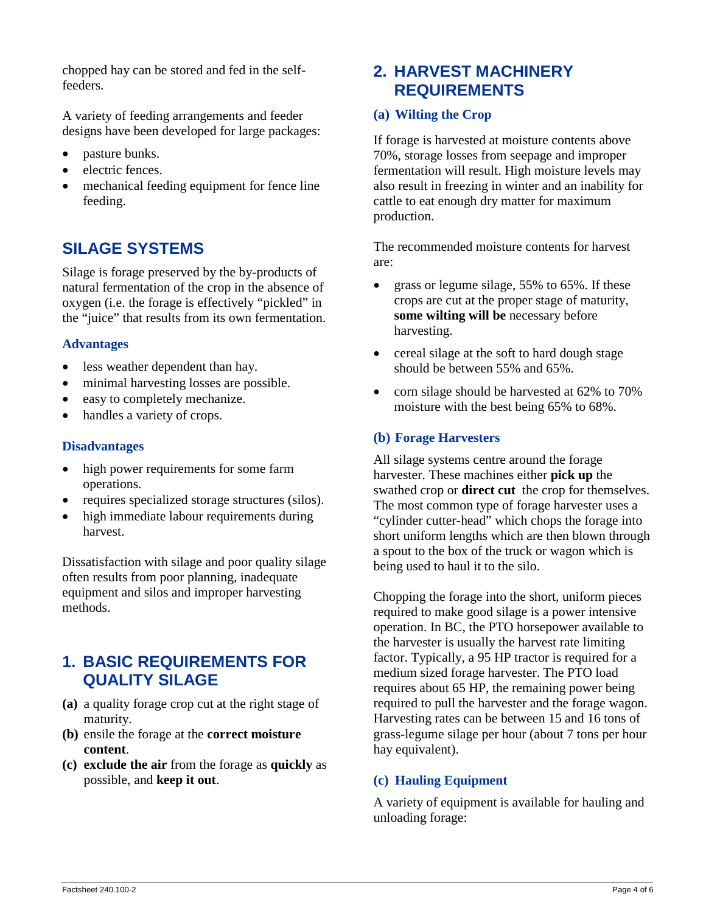chopped hay can be stored and fed in the selffeeders.

A variety of feeding arrangements and feeder designs have been developed for large packages:

- pasture bunks.
- electric fences.
- mechanical feeding equipment for fence line feeding.

# **SILAGE SYSTEMS**

Silage is forage preserved by the by-products of natural fermentation of the crop in the absence of oxygen (i.e. the forage is effectively "pickled" in the "juice" that results from its own fermentation.

# **Advantages**

- less weather dependent than hay.
- minimal harvesting losses are possible.
- easy to completely mechanize.
- handles a variety of crops.

### **Disadvantages**

- high power requirements for some farm operations.
- requires specialized storage structures (silos).
- high immediate labour requirements during harvest.

Dissatisfaction with silage and poor quality silage often results from poor planning, inadequate equipment and silos and improper harvesting methods.

# **1. BASIC REQUIREMENTS FOR QUALITY SILAGE**

- **(a)** a quality forage crop cut at the right stage of maturity.
- **(b)** ensile the forage at the **correct moisture content**.
- **(c) exclude the air** from the forage as **quickly** as possible, and **keep it out**.

# **2. HARVEST MACHINERY REQUIREMENTS**

# **(a) Wilting the Crop**

If forage is harvested at moisture contents above 70%, storage losses from seepage and improper fermentation will result. High moisture levels may also result in freezing in winter and an inability for cattle to eat enough dry matter for maximum production.

The recommended moisture contents for harvest are:

- grass or legume silage, 55% to 65%. If these crops are cut at the proper stage of maturity, **some wilting will be** necessary before harvesting.
- cereal silage at the soft to hard dough stage should be between 55% and 65%.
- corn silage should be harvested at 62% to 70% moisture with the best being 65% to 68%.

# **(b) Forage Harvesters**

All silage systems centre around the forage harvester. These machines either **pick up** the swathed crop or **direct cut** the crop for themselves. The most common type of forage harvester uses a "cylinder cutter-head" which chops the forage into short uniform lengths which are then blown through a spout to the box of the truck or wagon which is being used to haul it to the silo.

Chopping the forage into the short, uniform pieces required to make good silage is a power intensive operation. In BC, the PTO horsepower available to the harvester is usually the harvest rate limiting factor. Typically, a 95 HP tractor is required for a medium sized forage harvester. The PTO load requires about 65 HP, the remaining power being required to pull the harvester and the forage wagon. Harvesting rates can be between 15 and 16 tons of grass-legume silage per hour (about 7 tons per hour hay equivalent).

# **(c) Hauling Equipment**

A variety of equipment is available for hauling and unloading forage: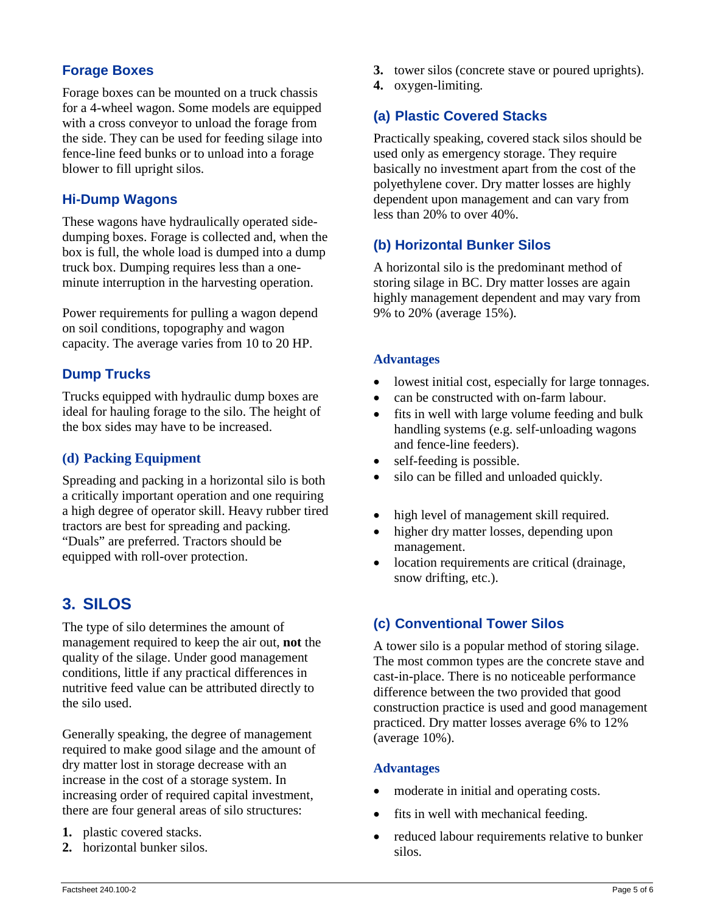# **Forage Boxes**

Forage boxes can be mounted on a truck chassis for a 4-wheel wagon. Some models are equipped with a cross conveyor to unload the forage from the side. They can be used for feeding silage into fence-line feed bunks or to unload into a forage blower to fill upright silos.

# **Hi-Dump Wagons**

These wagons have hydraulically operated sidedumping boxes. Forage is collected and, when the box is full, the whole load is dumped into a dump truck box. Dumping requires less than a oneminute interruption in the harvesting operation.

Power requirements for pulling a wagon depend on soil conditions, topography and wagon capacity. The average varies from 10 to 20 HP.

# **Dump Trucks**

Trucks equipped with hydraulic dump boxes are ideal for hauling forage to the silo. The height of the box sides may have to be increased.

# **(d) Packing Equipment**

Spreading and packing in a horizontal silo is both a critically important operation and one requiring a high degree of operator skill. Heavy rubber tired tractors are best for spreading and packing. "Duals" are preferred. Tractors should be equipped with roll-over protection.

# **3. SILOS**

The type of silo determines the amount of management required to keep the air out, **not** the quality of the silage. Under good management conditions, little if any practical differences in nutritive feed value can be attributed directly to the silo used.

Generally speaking, the degree of management required to make good silage and the amount of dry matter lost in storage decrease with an increase in the cost of a storage system. In increasing order of required capital investment, there are four general areas of silo structures:

- **1.** plastic covered stacks.
- **2.** horizontal bunker silos.
- **3.** tower silos (concrete stave or poured uprights).
- **4.** oxygen-limiting.

# **(a) Plastic Covered Stacks**

Practically speaking, covered stack silos should be used only as emergency storage. They require basically no investment apart from the cost of the polyethylene cover. Dry matter losses are highly dependent upon management and can vary from less than 20% to over 40%.

# **(b) Horizontal Bunker Silos**

A horizontal silo is the predominant method of storing silage in BC. Dry matter losses are again highly management dependent and may vary from 9% to 20% (average 15%).

# **Advantages**

- lowest initial cost, especially for large tonnages.
- can be constructed with on-farm labour.
- fits in well with large volume feeding and bulk handling systems (e.g. self-unloading wagons and fence-line feeders).
- self-feeding is possible.
- silo can be filled and unloaded quickly.
- high level of management skill required.
- higher dry matter losses, depending upon management.
- location requirements are critical (drainage, snow drifting, etc.).

# **(c) Conventional Tower Silos**

A tower silo is a popular method of storing silage. The most common types are the concrete stave and cast-in-place. There is no noticeable performance difference between the two provided that good construction practice is used and good management practiced. Dry matter losses average 6% to 12% (average 10%).

### **Advantages**

- moderate in initial and operating costs.
- fits in well with mechanical feeding.
- reduced labour requirements relative to bunker silos.